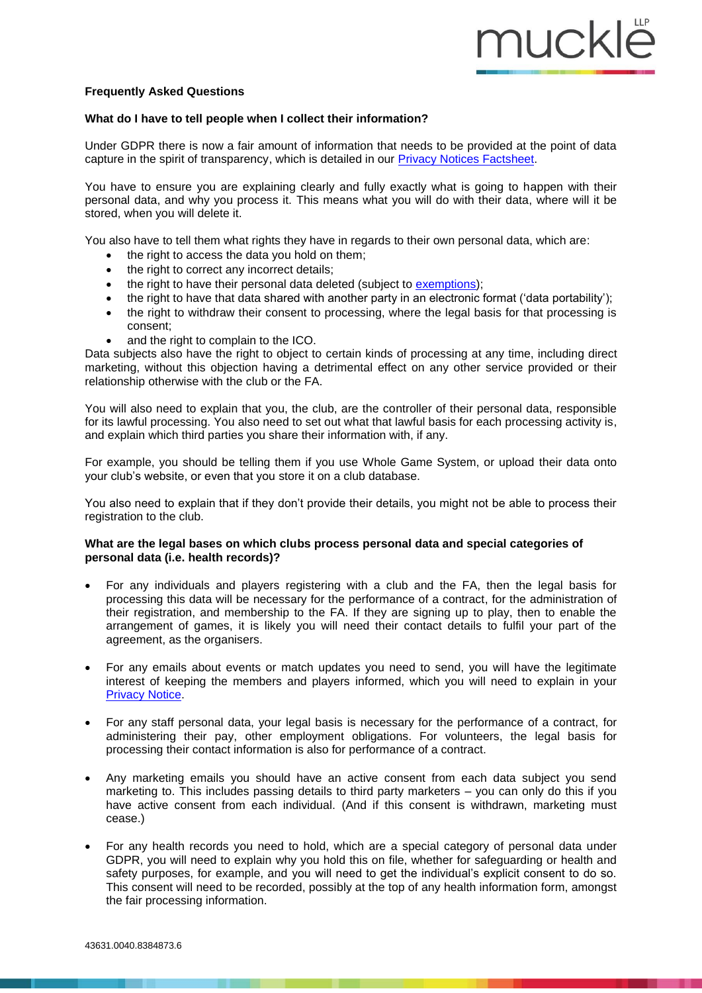## **Frequently Asked Questions**

## **What do I have to tell people when I collect their information?**

Under GDPR there is now a fair amount of information that needs to be provided at the point of data capture in the spirit of transparency, which is detailed in our [Privacy Notices Factsheet.](https://www.muckle-llp.com/wp-content/uploads/2018/02/Privacy-notices-under-the-GDPR.pdfhttps:/www.muckle-llp.com/wp-content/uploads/2018/02/Privacy-notices-under-the-GDPR.pdf)

You have to ensure you are explaining clearly and fully exactly what is going to happen with their personal data, and why you process it. This means what you will do with their data, where will it be stored, when you will delete it.

You also have to tell them what rights they have in regards to their own personal data, which are:

- the right to access the data you hold on them:
- the right to correct any incorrect details;
- the right to have their personal data deleted (subject to [exemptions\)](https://ico.org.uk/for-organisations/guide-to-the-general-data-protection-regulation-gdpr/individual-rights/right-to-erasure/?q=photo);
- the right to have that data shared with another party in an electronic format ('data portability');
- the right to withdraw their consent to processing, where the legal basis for that processing is consent;
- and the right to complain to the ICO.

Data subjects also have the right to object to certain kinds of processing at any time, including direct marketing, without this objection having a detrimental effect on any other service provided or their relationship otherwise with the club or the FA.

You will also need to explain that you, the club, are the controller of their personal data, responsible for its lawful processing. You also need to set out what that lawful basis for each processing activity is, and explain which third parties you share their information with, if any.

For example, you should be telling them if you use Whole Game System, or upload their data onto your club's website, or even that you store it on a club database.

You also need to explain that if they don't provide their details, you might not be able to process their registration to the club.

## **What are the legal bases on which clubs process personal data and special categories of personal data (i.e. health records)?**

- For any individuals and players registering with a club and the FA, then the legal basis for processing this data will be necessary for the performance of a contract, for the administration of their registration, and membership to the FA. If they are signing up to play, then to enable the arrangement of games, it is likely you will need their contact details to fulfil your part of the agreement, as the organisers.
- For any emails about events or match updates you need to send, you will have the legitimate interest of keeping the members and players informed, which you will need to explain in your [Privacy Notice.](https://www.muckle-llp.com/wp-content/uploads/2018/02/Privacy-notices-under-the-GDPR.pdfhttps:/www.muckle-llp.com/wp-content/uploads/2018/02/Privacy-notices-under-the-GDPR.pdf)
- For any staff personal data, your legal basis is necessary for the performance of a contract, for administering their pay, other employment obligations. For volunteers, the legal basis for processing their contact information is also for performance of a contract.
- Any marketing emails you should have an active consent from each data subject you send marketing to. This includes passing details to third party marketers – you can only do this if you have active consent from each individual. (And if this consent is withdrawn, marketing must cease.)
- For any health records you need to hold, which are a special category of personal data under GDPR, you will need to explain why you hold this on file, whether for safeguarding or health and safety purposes, for example, and you will need to get the individual's explicit consent to do so. This consent will need to be recorded, possibly at the top of any health information form, amongst the fair processing information.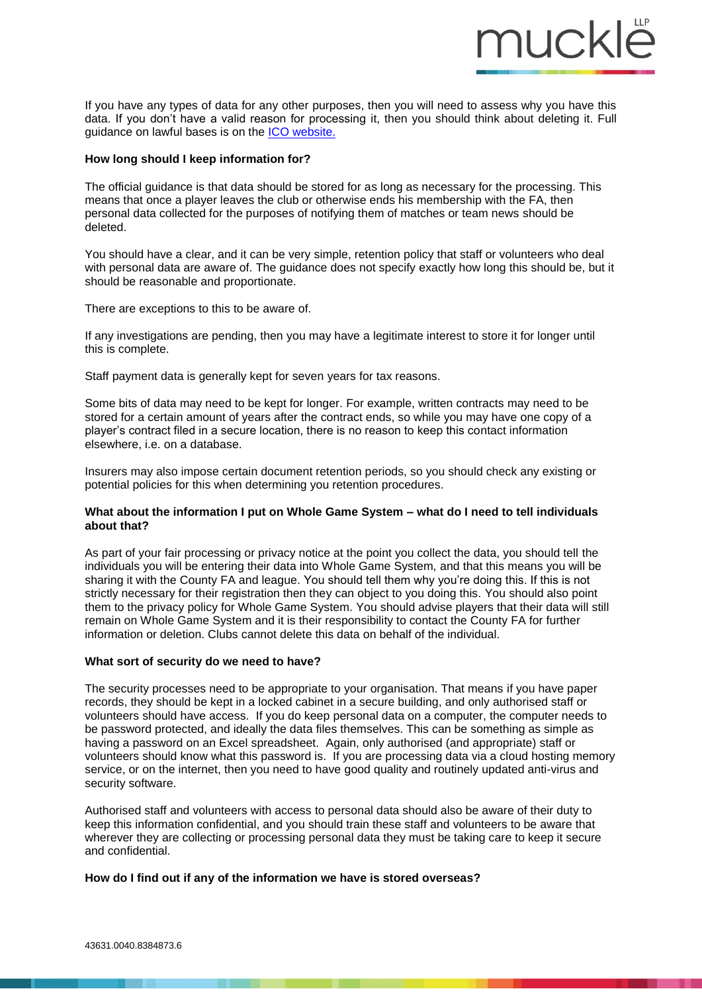If you have any types of data for any other purposes, then you will need to assess why you have this data. If you don't have a valid reason for processing it, then you should think about deleting it. Full guidance on lawful bases is on the [ICO website.](https://ico.org.uk/for-organisations/guide-to-the-general-data-protection-regulation-gdpr/lawful-basis-for-processing/consent/)

mucklë

### **How long should I keep information for?**

The official guidance is that data should be stored for as long as necessary for the processing. This means that once a player leaves the club or otherwise ends his membership with the FA, then personal data collected for the purposes of notifying them of matches or team news should be deleted.

You should have a clear, and it can be very simple, retention policy that staff or volunteers who deal with personal data are aware of. The guidance does not specify exactly how long this should be, but it should be reasonable and proportionate.

There are exceptions to this to be aware of.

If any investigations are pending, then you may have a legitimate interest to store it for longer until this is complete.

Staff payment data is generally kept for seven years for tax reasons.

Some bits of data may need to be kept for longer. For example, written contracts may need to be stored for a certain amount of years after the contract ends, so while you may have one copy of a player's contract filed in a secure location, there is no reason to keep this contact information elsewhere, i.e. on a database.

Insurers may also impose certain document retention periods, so you should check any existing or potential policies for this when determining you retention procedures.

### **What about the information I put on Whole Game System – what do I need to tell individuals about that?**

As part of your fair processing or privacy notice at the point you collect the data, you should tell the individuals you will be entering their data into Whole Game System, and that this means you will be sharing it with the County FA and league. You should tell them why you're doing this. If this is not strictly necessary for their registration then they can object to you doing this. You should also point them to the privacy policy for Whole Game System. You should advise players that their data will still remain on Whole Game System and it is their responsibility to contact the County FA for further information or deletion. Clubs cannot delete this data on behalf of the individual.

## **What sort of security do we need to have?**

The security processes need to be appropriate to your organisation. That means if you have paper records, they should be kept in a locked cabinet in a secure building, and only authorised staff or volunteers should have access. If you do keep personal data on a computer, the computer needs to be password protected, and ideally the data files themselves. This can be something as simple as having a password on an Excel spreadsheet. Again, only authorised (and appropriate) staff or volunteers should know what this password is. If you are processing data via a cloud hosting memory service, or on the internet, then you need to have good quality and routinely updated anti-virus and security software.

Authorised staff and volunteers with access to personal data should also be aware of their duty to keep this information confidential, and you should train these staff and volunteers to be aware that wherever they are collecting or processing personal data they must be taking care to keep it secure and confidential.

**How do I find out if any of the information we have is stored overseas?**